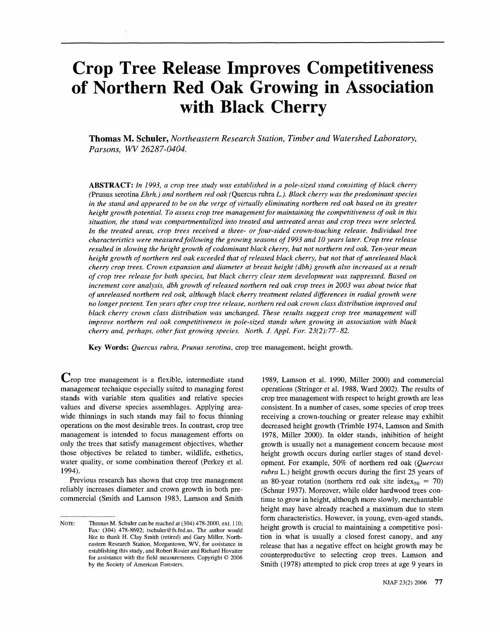# **Crop Tree Release Improves Competitiveness of Northern Red Oak Growing in Association with Black Cherry**

**Thomas M. Sckuler,** *Northeastern Research Station, Timber and Watershed Laboratory,*  Parsons, WV 26287-0404.

*ABSTRACT: In 1993, a crop tree study was established in a pole-sized stand consisting of black cherry*  (Pmus serotina *Ehrh.) and northern red oak* (Quercus rubra *L.). Black cherry was the predominant species in the stand and appeared to be on the verge of virtually eliminating northern red oak based on its greater height growth potential. To assess crop tree management for maintaining the competitiveness of oak in this*  situation, the stand was compartmentalized into treated and untreated areas and crop trees were selected. *In the treated areas, crop trees received a three- or four-sided crown-touching release. Individual tree characteristics were measured following the growing seasons of1993 and 10 years later. Crop tree release resulted in slowing the height growth of codominant black cherry, but not northern red oak. Ten-year mean height growth of northern red oak exceeded that of released black cherry, but not that of unreleased black cherry crop trees. Crown expansion and diameter at breast height (dbh) growth also increased as a result*  of crop tree release for both species, but black cherry clear stem development was suppressed. Based on increment core analysis, dbh growth of released northern red oak crop trees in 2003 was about twice that *of unreleased northern red oak, although black cherry treatment related differences in radial growth were*  no longer present. Ten years after crop tree release, northern red oak crown class distribution improved and *black cherry crown class distribution was unchanged. These results suggest crop tree management will improve northern red oak competitiveness in pole-sized stands when growing in association with black cherry and, perhaps, other fast growing species. North. J. Appl. For. 23(2):77-82.* 

**Key Words:** *Quercus rubra, Prunus serotina,* crop tree management, height growth.

Crop tree management is a flexible, intermediate stand management technique especially suited to managing forest stands with variable stem qualities and relative species values and diverse species assemblages. Applying areawide thinnings in such stands may fail to focus thinning operations on the most desirable trees. In contrast, crop tree management is intended to focus management efforts on only the trees that satisfy management objectives, whether those objectives be related to timber, wildlife, esthetics, water quality, or some combination thereof (Perkey et al. 1 994).

Previous research has shown that crop tree management reliably increases diameter and crown growth in both precommercial (Smith and Lamson 1983, Lamson and Smith

1989, Lamson et al. 1990, Miller 2000) and commercial operations (Stringer et al. 1988, Ward 2002). The results of crop tree management with respect to height growth are less consistent. In a number of cases, some species of crop trees receiving a crown-touching or greater release may exhibit decreased height growth (Trimble 1974, Lamson and Smith 1978, Miller 2000). In older stands, inhibition of height growth is usually not a management concern because most height growth occurs during earlier stages of stand development. For example, 50% of northern red oak *(Quercus rubra* L.) height growth occurs during the first 25 years of an 80-year rotation (northern red oak site index<sub>50</sub> = 70) (Schnur 1937). Moreover, while older hardwood trees continue to grow in height, although more slowly, merchantable height may have already reached a maximum due to stem form characteristics. However, in young, even-aged stands, height growth is crucial to maintaining a competitive position in what is usually a closed forest canopy, and any release that has a negative effect on height growth may be counterproductive to selecting crop trees. Lamson and Smith (1978) attempted to pick crop trees at age 9 years in

NOTE: Thomas M. Schuler can be reached at (304) 478-2000, ext. 110; Fax: (304) 478-8692; tschuler@fs.fed.us. The author would like to thank H. Clay Smith (retired) and Gary Miller, Northeastern Research Station, Morgantown, **WV,** for assistance in establishing this study, and Robert Rosier and Richard Hovatter for assistance with the field measurements. Copyright *O* 2006 by the Society of American Foresters.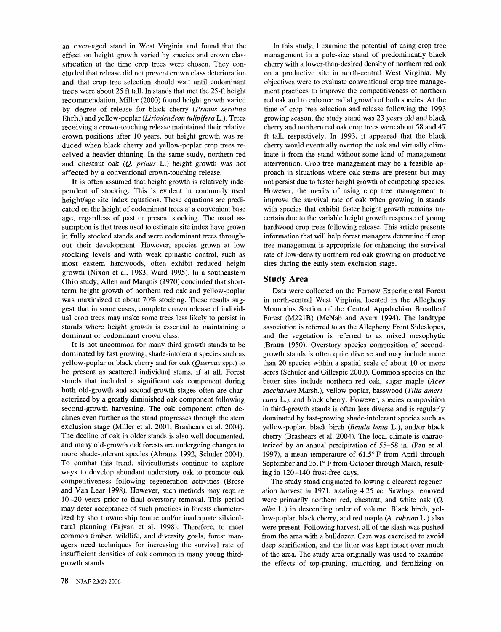an even-aged stand in West Virginia and found that the effect on height growth varied by species and crown classification at the time crop trees were chosen. They concluded that release did not prevent crown class deterioration and that crop tree selection should wait until codominant trees were about 25 ft tall. In stands that met the 25-ft height recommendation, Miller (2000) found height growth varied by degree of release for black cherry (Prunus serotina Ehrh.) and yellow-poplar (Liriodendron tulipifera L.). Trees receiving a crown-touching release maintained their relative crown positions after 10 years, but height growth was reduced when black cherry and yellow-poplar crop trees received a heavier thinning, In the same study, northern red and chestnut oak (Q. prinus L.) height growth was not affected by a conventional crown-touching release.

It is often assumed that height growth is relatively independent of stocking. This is evident in commonly used height/age site index equations. These equations are predicated on the height of codominant trees at a convenient base age, regardless of past or present stocking. The usual assumption is that trees used to estimate site index have grown in fully stocked stands and were codominant trees throughout their development. However, species grown at low stocking levels and with weak epinastic control, such as most eastern hardwoods, often exhibit reduced height growth (Nixon et al. 1983, Ward 1995). In a southeastern Ohio study, Allen and Marquis (1970) concluded that shortterm height growth of northern red oak and yellow-poplar was maximized at about 70% stocking. These results suggest that in some cases, complete crown release of individual crop trees may make some trees less likely to persist in stands where height growth is essential to maintaining a dominant or codominant crown class.

It is not uncommon for many third-growth stands to be dominated by fast growing, shade-intolerant species such as yellow-poplar or black cherry and for oak (Quercus spp.) to be present as scattered individual stems, if at all. Forest stands that included a significant oak component during both old-growth and second-growth stages often are characterized by a greatly diminished oak component following second-growth harvesting. The oak component often declines even further as the stand progresses through the stem exclusion stage (Miller et al. 2001, Brashears et al. 2004). The decline of oak in older stands is also well documented, and many old-growth oak forests are undergoing changes to more shade-tolerant species (Abrams 1992, Schuler 2004). To combat this trend, silviculturists continue to explore ways to develop abundant understory oak to promote oak competitiveness following regeneration activities (Brose and Van Lear 1998). However, such methods may require 10-20 years prior to final overstory removal. This period may deter acceptance of such practices in forests characterized by short ownership tenure and/or inadequate silvicultural planning (Fajvan et al. 1998). Therefore, to meet common timber, wildlife, and diversity goals, forest managers need techniques for increasing the survival rate of insufficient densities of oak common in many young thirdgrowth stands.

management in a pole-size stand of predominantly black cherry with a lower-than-desired density of northern red oak on a productive site in north-central West Virginia. My objectives were to evaluate conventional crop tree management practices to improve the competitiveness of northern red oak and to enhance radial growth of both species. At the time of crop tree selection and release following the 1993 growing season, the study stand was 23 years old and black cherry and northern red oak crop trees were about 58 and 47 ft tall, respectively. In 1993, it appeared that the black cherry would eventually overtop the oak and virtually eliminate it from the stand without some kind of management intervention. Crop tree management may be a feasible approach in situations where oak stems are present but may not persist due to faster height growth of competing species. However, the merits of using crop tree management to improve the survival rate of oak when growing in stands with species that exhibit faster height growth remains uncertain due to the variable height growth response of young hardwood crop trees following release. This article presents information that will help forest managers determine if crop tree management is appropriate for enhancing the survival rate of low-density northern red oak growing on productive sites during the early stem exclusion stage.

In this study, I examine the potential of using crop tree

## **Study Area**

Data were collected on the Fernow Experimental Forest in north-central West Virginia, located in the Allegheny Mountains Section of the Central Appalachian Broadleaf Forest (M221B) (McNab and Avers 1994). The landtype association is referred to as the Allegheny Front Sideslopes, and the vegetation is referred to as mixed mesophytic (Braun 1950). Overstory species composition of secondgrowth stands is often quite diverse and may include more than 20 species within a spatial scale of about 10 or more acres (Schuler and Gillespie 2000). Common species on the better sites include northern red oak, sugar maple (Acer saccharum Marsh.), yellow-poplar, basswood (Tilia americana L.), and black cherry. However, species composition in third-growth stands is often less diverse and is regularly dominated by fast-growing shade-intolerant species such as yellow-poplar, black birch (Betula lenta L.), and/or black cherry (Brashears et al. 2004). The local climate is characterized by an annual precipitation of 55-58 in. (Pan et al. 1997), a mean temperature of  $61.5^{\circ}$  F from April through September and  $35.1^\circ$  F from October through March, resulting in 120-140 frost-free days.

The study stand originated following a clearcut regeneration harvest in 1971, totaling 4.25 ac. Sawlogs removed were primarily northern red, chestnut, and white oak (Q. alha L.) in descending order of volume. Black birch, yellow-poplar, black cherry, and red maple (A. *rubrum* L.) also were present. Following harvest, all of the slash was pushed from the area with a bulldozer. Care was exercised to avoid deep scarification, and the litter was kept intact over much of the area. The study area originally was used to examine the effects of top-pruning, mulching, and fertilizing on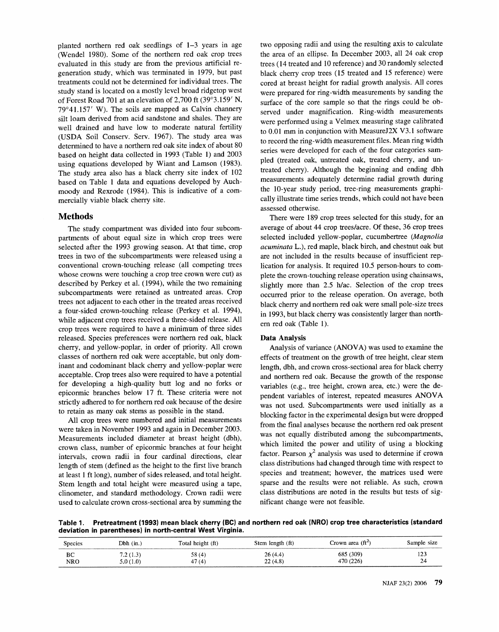planted northern red oak seedlings of 1-3 years in age (Wendel 1980). Some of the northern red oak crop trees evaluated in this study are from the previous artificial regeneration study, which was terminated in 1979, but past treatments could not be determined for individual trees. The study stand is located on a mostly level broad ridgetop west of Forest Road 701 at an elevation of 2,700 ft (39'3.159' N, 79"4 1.157' **W).** The soils are mapped as Calvin channery silt loam derived from acid sandstone and shales. They are well drained and have low to moderate natural fertility (USDA Soil Conserv. Serv. 1967). The study area was determined to have a northern red oak site index of about 80 based on height data collected in 1993 (Table 1) and 2003 using equations developed by Wiant and Lamson (1983). The study area also has a black cherry site index of 102 based on Table 1 data and equations developed by Auchmoody and Rexrode (1984). This is indicative of a commercially viable black cherry site.

## **Methods**

The study compartment was divided into four subcompartments of about equal size in which crop trees were selected after the 1993 growing season. At that time, crop trees in two of the subcompartments were released using a conventional crown-touching release (all competing trees whose crowns were touching a crop tree crown were cut) as described by Perkey et al. (1994), while the two remaining subcompartments were retained as untreated areas. Crop trees not adjacent to each other in the treated areas received a four-sided crown-touching release (Perkey et al. 1994), while adjacent crop trees received a three-sided release. All crop trees were required to have a minimum of three sides released. Species preferences were northern red oak, black cherry, and yellow-poplar, in order of priority. All crown classes of northern red oak were acceptable, but only dominant and codominant black cherry and yellow-poplar were acceptable. Crop trees also were required to have a potential for developing a high-quality butt log and no forks or epicormic branches below 17 ft, These criteria were not strictly adhered to for northern red oak because of the desire to retain as many oak stems as possible in the stand.

All crop trees were numbered and initial measurements were taken in November 1993 and again in December 2003. Measurements included diameter at breast height (dbh), crown class, number of epicormic branches at four height intervals, crown radii in four cardinal directions, clear length of stem (defined as the height to the first live branch at least 1 ft long), number of sides released, and total height. Stem length and total height were measured using a tape, clinometer, and standard methodology. Crown radii were used to calculate crown cross-sectional area by summing the

two opposing radii and using the resulting axis to calculate the area of an ellipse. In December 2003, all 24 oak crop trees (14 treated and 10 reference) and 30 randomly selected black cherry crop trees (15 treated and 15 reference) were cored at breast height for radial growth analysis. All cores were prepared for ring-width measurements by sanding the surface of the core sample so that the rings could be observed under magnification. Ring-width measurements were performed using a Velmex measuring stage calibrated to 0.01 mm in conjunction with MeasureJ2X V3.1 software to record the ring-width measurement files. Mean ring width series were developed for each of the four categories sampled (treated oak, untreated oak, treated cherry, and untreated cherry). Although the beginning and ending dbh measurements adequately determine radial growth during the 10-year study period, tree-ring measurements graphically illustrate time series trends, which could not have been assessed otherwise.

There were 189 crop trees selected for this study, for an average of about 44 crop treeslacre. Of these, 36 crop trees selected included yellow-poplar, cucumbertree *(Magnolia acuminata* L.), red maple, black birch, and chestnut oak but are not included in the results because of insufficient replication for analysis. It required 10.5 person-hours to complete the crown-touching release operation using chainsaws, slightly more than 2.5 h/ac. Selection of the crop trees occurred prior to the release operation. On average, both black cherry and northern red oak were small pole-size trees in 1993, but black cherry was consistently larger than northern red oak (Table 1).

## **Data Analysis**

Analysis of variance (ANOVA) was used to examine the effects of treatment on the growth of tree height, clear stem length, dbh, and crown cross-sectional area for black cherry and northern red oak. Because the growth of the response variables (e.g., tree height, crown area, etc.) were the dependent variables of interest, repeated measures ANOVA was not used. Subcompartments were used initially as a blocking factor in the experimental design but were dropped from the final analyses because the northern red oak present was not equally distributed among the subcompartments, which limited the power and utility of using a blocking factor. Pearson  $\chi^2$  analysis was used to determine if crown class distributions had changed through time with respect to species and treatment; however, the matrices used were sparse and the results were not reliable. As such, crown class distributions are noted in the results but tests of significant change were not feasible.

**Table 1. Pretreatment (1993) mean black cherry (BC) and northern red oak (NRO) crop tree characteristics (standard deviation in parentheses) in north-central West Virginia.** 

| <b>Species</b> | $Dbh$ (in.) | Total height (ft) | Stem length (ft) | Crown area (ft <sup><math>\angle</math>)</sup> | Sample size |
|----------------|-------------|-------------------|------------------|------------------------------------------------|-------------|
| BС             | (1.3)       | 58(4)             | 26(4.4)          | 685 (309)                                      | $1 - -$     |
| NRO            | 5.0(1.0)    | 47(4)             | 22(4.8)          | 470 (226)                                      |             |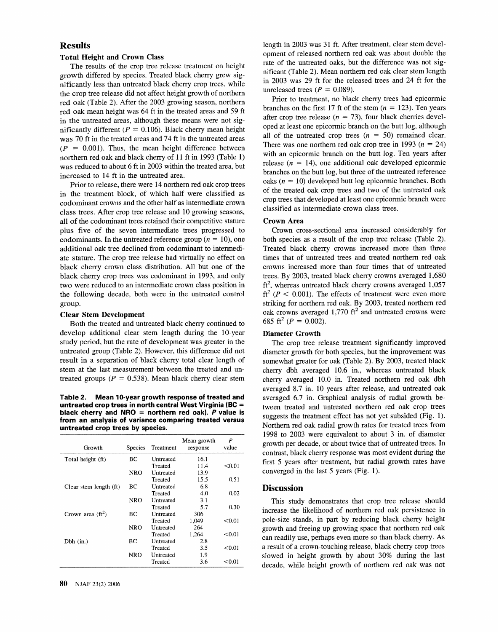# **Results**

## **Total Height and Grown Class**

The results of the crop tree release treatment on height growth differed by species. Treated black cherry grew significantly less than untreated black cherry crop trees, while the crop tree release did not affect height growth of northern red oak (Table 2). After the 2003 growing season, northern red oak mean height was 64 ft in the treated areas and 59 ft in the untreated areas, although these means were not significantly different ( $P = 0.106$ ). Black cherry mean height was 70 ft in the treated areas and 74 ft in the untreated areas  $(P = 0.001)$ . Thus, the mean height difference between northern red oak and black cherry of 11 ft in 1993 (Table 1) was reduced to about 6 ft in 2003 within the treated area, but increased to 14 ft in the untreated area.

Prior to release, there were 14 northern red oak crop trees in the treatment block, of which half were classified as codominant crowns and the other half as intermediate crown class trees. After crop tree release and 10 growing seasons, all of the codominant trees retained their competitive stature plus five of the seven intermediate trees progressed to codominants. In the untreated reference group ( $n = 10$ ), one additional oak tree declined from codominant to intermediate stature. The crop tree release had virtually no effect on black cherry crown class distribution. All but one of the black cherry crop trees was codominant in 1993, and only two were reduced to an intermediate crown class position in the following decade, both were in the untreated control group.

#### **Clear Stem Development**

Both the treated and untreated black cherry continued to develop additional clear stem length during the 10-year study period, but the rate of development was greater in the untreated group (Table 2). However, this difference did not result in a separation of black cherry total clear length of stem at the last measurement between the treated and untreated groups ( $P = 0.538$ ). Mean black cherry clear stem

**Table 2. Mean 10-year growth response of treated and untreated crop trees in north central West Virginia (BC** = **black cherry and NRO** = **northern red oak). P value is from an analysis of variance comparing treated versus untreated crop trees by species.** 

| Growth                 | <b>Species</b> | Treatment | Mean growth<br>response | P<br>value |
|------------------------|----------------|-----------|-------------------------|------------|
| Total height (ft)      | BС             | Untreated | 16.1                    |            |
|                        |                | Treated   | 11.4                    | < 0.01     |
|                        | NRO            | Untreated | 13.9                    |            |
|                        |                | Treated   | 15.5                    | 0.51       |
| Clear stem length (ft) | BС             | Untreated | 6.8                     |            |
|                        |                | Treated   | 4.0                     | 0.02       |
|                        | NRO            | Untreated | 3.1                     |            |
|                        |                | Treated   | 5.7                     | 0.30       |
| Crown area $(ft^2)$    | ВC             | Untreated | 306                     |            |
|                        |                | Treated   | 1.049                   | < 0.01     |
|                        | NRO.           | Untreated | 264                     |            |
|                        |                | Treated   | 1.264                   | < 0.01     |
| $Dbh$ (in.)            | BС             | Untreated | 2.8                     |            |
|                        |                | Treated   | 3.5                     | < 0.01     |
|                        | NRO            | Untreated | 1.9                     |            |
|                        |                | Treated   | 3.6                     | < 0.01     |

length in 2003 was 31 ft. After treatment, clear stem development of released northern red oak was about double the rate of the untreated oaks, but the difference was not significant (Table 2). Mean northern red oak clear stem length in 2003 was 29 ft for the released trees and 24 ft for the unreleased trees ( $P = 0.089$ ).

Prior to treatment, no black cherry trees had epicormic branches on the first 17 ft of the stem  $(n = 123)$ . Ten years after crop tree release ( $n = 73$ ), four black cherries developed at least one epicorrnic branch on the butt log, although all of the untreated crop trees  $(n = 50)$  remained clear. There was one northern red oak crop tree in 1993 ( $n = 24$ ) with an epicormic branch on the butt log. Ten years after release ( $n = 14$ ), one additional oak developed epicormic branches on the butt log, but three of the untreated reference oaks ( $n = 10$ ) developed butt log epicormic branches. Both of the treated oak crop trees and two of the untreated oak crop trees that developed at least one epicormic branch were classified as intermediate crown class trees.

## **Crown Area**

Crown cross-sectional area increased considerably for both species as a result of the crop tree release (Table 2). Treated black cherry crowns increased more than three times that of untreated trees and treated northern red oak crowns increased more than four times that of untreated trees. By 2003, treated black cherry crowns averaged 1,680  $ft<sup>2</sup>$ , whereas untreated black cherry crowns averaged 1,057 ft<sup>2</sup> ( $P < 0.001$ ). The effects of treatment were even more striking for northern red oak. By 2003, treated northern red oak crowns averaged  $1,770 \text{ ft}^2$  and untreated crowns were 685 ft<sup>2</sup> ( $P = 0.002$ ).

#### **Diameter Growth**

The crop tree release treatment significantly improved diameter growth for both species, but the improvement was somewhat greater for oak (Table 2). By 2003, treated black cherry dbh averaged 10.6 in., whereas untreated black cherry averaged 10.0 in. Treated northern red oak dbh averaged 8.7 in. 10 years after release, and untreated oak averaged 6.7 in. Graphical analysis of radial growth between treated and untreated northern red oak crop trees suggests the treatment effect has not yet subsided (Fig. 1). Northern red oak radial growth rates for treated trees from 1998 to 2003 were equivalent to about 3 in. of diameter growth per decade, or about twice that of untreated trees. In contrast, black cherry response was most evident during the first 5 years after treatment, but radial growth rates have converged in the last 5 years (Fig. 1).

## **Discussion**

This study demonstrates that crop tree release should increase the likelihood of northern red oak persistence in pole-size stands, in part by reducing black cherry height growth and freeing up growing space that northern red oak can readily use, perhaps even more so than black cherry. As a result of a crown-touching release, black cherry crop trees slowed in height growth by about 30% during the last decade, while height growth of northern red oak was not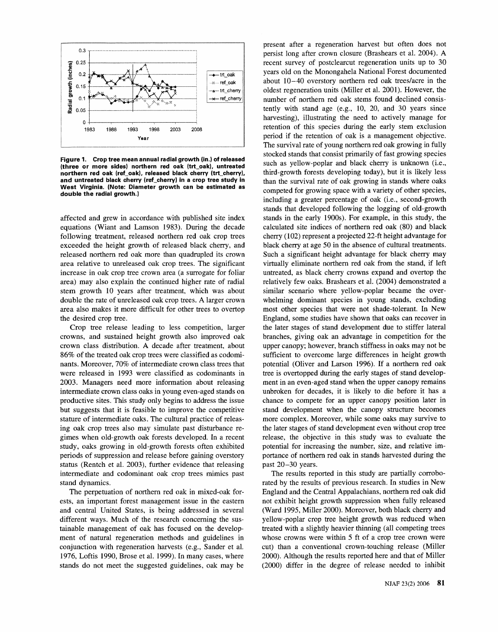

**Figure 1. Crop tree mean annual radial growth (in.) of released (three or more sides) northern red oak (trt-oak), untreated northern red oak (ref-oak), released black cherry (trt-cherry), and untreated black cherry (ref-cherry) in a crop tree study in West Virginia. (Note: Diameter growth can be estimated as double the radial growth.)** 

affected and grew in accordance with published site index equations (Wiant and Lamson 1983). During the decade following treatment, released northern red oak crop trees exceeded the height growth of released black cherry, and released northern red oak more than quadrupled its crown area relative to unreleased oak crop trees. The significant increase in oak crop tree crown area (a surrogate for foliar area) may also explain the continued higher rate of radial stem growth 10 years after treatment, which was about double the rate of unreleased oak crop trees. A larger crown area also makes it more difficult for other trees to overtop the desired crop tree.

Crop tree release leading to less competition, larger crowns, and sustained height growth also improved oak crown class distribution. A decade after treatment, about 86% of the treated oak crop trees were classified as codominants. Moreover, 70% of intermediate crown class trees that were released in 1993 were classified as codominants in 2003. Managers need more information about releasing intermediate crown class oaks in young even-aged stands on productive sites. This study only begins to address the issue but suggests that it is feasible to improve the competitive stature of intermediate oaks. The cultural practice of releasing oak crop trees also may simulate past disturbance regimes when old-growth oak forests developed. In a recent study, oaks growing in old-growth forests often exhibited periods of suppression and release before gaining overstory status (Rentch et al. 2003), further evidence that releasing intermediate and codominant oak crop trees mimics past stand dynamics.

The perpetuation of northern red oak in mixed-oak forests, an important forest management issue in the eastern and central United States, is being addressed in several different ways. Much of the research concerning the sustainable management of oak has focused on the development of natural regeneration methods and guidelines in conjunction with regeneration harvests (e.g., Sander et al. 1976, Loftis 1990, Brose et al. 1999). In many cases, where stands do not meet the suggested guidelines, oak may be

present after a regeneration harvest but often does not persist long after crown closure (Brashears et al. 2004). A recent survey of postclearcut regeneration units up to 30 years old on the Monongahela National Forest documented about 10-40 overstory northern red oak treesfacre in the oldest regeneration units (Miller et al. 2001). However, the number of northern red oak stems found declined consistently with stand age (e.g., 10, 20, and 30 years since harvesting), illustrating the need to actively manage for retention of this species during the early stem exclusion period if the retention of oak is a management objective. The survival rate of young northern red oak growing in fully stocked stands that consist primarily of fast growing species such as yellow-poplar and black cherry is unknown (i.e., third-growth forests developing today), but it is likely less than the survival rate of oak growing in stands where oaks competed for growing space with a variety of other species, including a greater percentage of oak (i.e., second-growth stands that developed following the logging of old-growth stands in the early 1900s). For example, in this study, the calculated site indices of northern red oak (80) and black cherry (102) represent a projected 22-ft height advantage for black cherry at age 50 in the absence of cultural treatments. Such a significant height advantage for black cherry may virtually eliminate northern red oak from the stand, if left untreated, as black cherry crowns expand and overtop the relatively few oaks. Brashears et al. (2004) demonstrated a similar scenario where yellow-poplar became the overwhelming dominant species in young stands, excluding most other species that were not shade-tolerant. In New England, some studies have shown that oaks can recover in the later stages of stand development due to stiffer lateral branches, giving oak an advantage in competition for the upper canopy; however, branch stiffness in oaks may not be sufficient to overcome large differences in height growth potential (Oliver and Larson 1996). If a northern red oak tree is overtopped during the early stages of stand development in an even-aged stand when the upper canopy remains unbroken for decades, it is likely to die before it has a chance to compete for an upper canopy position later in stand development when the canopy structure becomes more complex. Moreover, while some oaks may survive to the later stages of stand development even without crop tree release, the objective in this study was to evaluate the potential for increasing the number, size, and relative importance of northern red oak in stands harvested during the past 20-30 years.

The results reported in this study are partially corroborated by the results of previous research. In studies in New England and the Central Appalachians, northern red oak did not exhibit height growth suppression when fully released (Ward 1995, Miller 2000). Moreover, both black cherry and yellow-poplar crop tree height growth was reduced when treated with a slightly heavier thinning (all competing trees whose crowns were within 5 ft of a crop tree crown were cut) than a conventional crown-touching release (Miller 2000). Although the results reported here and that of Miller (2000) differ in the degree of release needed to inhibit